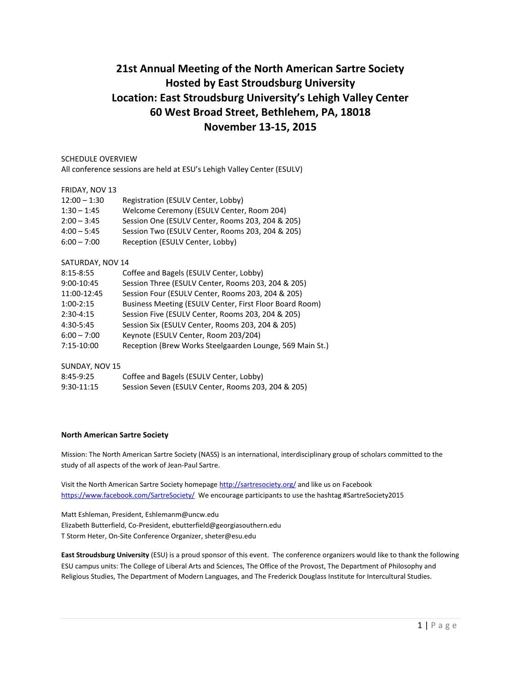# **21st Annual Meeting of the North American Sartre Society Hosted by East Stroudsburg University Location: East Stroudsburg University's Lehigh Valley Center 60 West Broad Street, Bethlehem, PA, 18018 November 13-15, 2015**

## SCHEDULE OVERVIEW

All conference sessions are held at ESU's Lehigh Valley Center (ESULV)

#### FRIDAY, NOV 13

| $12:00 - 1:30$ | Registration (ESULV Center, Lobby)               |
|----------------|--------------------------------------------------|
| $1:30 - 1:45$  | Welcome Ceremony (ESULV Center, Room 204)        |
| $2:00 - 3:45$  | Session One (ESULV Center, Rooms 203, 204 & 205) |
| $4:00 - 5:45$  | Session Two (ESULV Center, Rooms 203, 204 & 205) |
| $6:00 - 7:00$  | Reception (ESULV Center, Lobby)                  |
|                |                                                  |

#### SATURDAY, NOV 14

| $8:15 - 8:55$ | Coffee and Bagels (ESULV Center, Lobby)                  |
|---------------|----------------------------------------------------------|
| 9:00-10:45    | Session Three (ESULV Center, Rooms 203, 204 & 205)       |
| 11:00-12:45   | Session Four (ESULV Center, Rooms 203, 204 & 205)        |
| $1:00-2:15$   | Business Meeting (ESULV Center, First Floor Board Room)  |
| $2:30-4:15$   | Session Five (ESULV Center, Rooms 203, 204 & 205)        |
| 4:30-5:45     | Session Six (ESULV Center, Rooms 203, 204 & 205)         |
| $6:00 - 7:00$ | Keynote (ESULV Center, Room 203/204)                     |
| 7:15-10:00    | Reception (Brew Works Steelgaarden Lounge, 569 Main St.) |

# SUNDAY, NOV 15

| 8:45-9:25    | Coffee and Bagels (ESULV Center, Lobby)            |
|--------------|----------------------------------------------------|
| $9:30-11:15$ | Session Seven (ESULV Center, Rooms 203, 204 & 205) |

## **North American Sartre Society**

Mission: The North American Sartre Society (NASS) is an international, interdisciplinary group of scholars committed to the study of all aspects of the work of Jean-Paul Sartre.

Visit the North American Sartre Society homepage<http://sartresociety.org/> and like us on Facebook <https://www.facebook.com/SartreSociety/> We encourage participants to use the hashtag #SartreSociety2015

Matt Eshleman, President, Eshlemanm@uncw.edu Elizabeth Butterfield, Co-President, ebutterfield@georgiasouthern.edu T Storm Heter, On-Site Conference Organizer, sheter@esu.edu

**East Stroudsburg University** (ESU) is a proud sponsor of this event. The conference organizers would like to thank the following ESU campus units: The College of Liberal Arts and Sciences, The Office of the Provost, The Department of Philosophy and Religious Studies, The Department of Modern Languages, and The Frederick Douglass Institute for Intercultural Studies.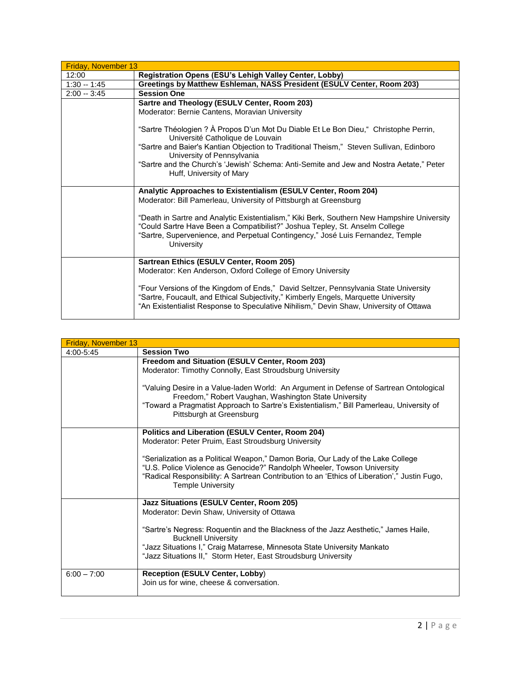| Friday, November 13 |                                                                                                                                                                                                                                                                                                                                                                                                                    |
|---------------------|--------------------------------------------------------------------------------------------------------------------------------------------------------------------------------------------------------------------------------------------------------------------------------------------------------------------------------------------------------------------------------------------------------------------|
| 12:00               | Registration Opens (ESU's Lehigh Valley Center, Lobby)                                                                                                                                                                                                                                                                                                                                                             |
| $1:30 - 1:45$       | Greetings by Matthew Eshleman, NASS President (ESULV Center, Room 203)                                                                                                                                                                                                                                                                                                                                             |
| $2:00 - 3:45$       | <b>Session One</b>                                                                                                                                                                                                                                                                                                                                                                                                 |
|                     | Sartre and Theology (ESULV Center, Room 203)                                                                                                                                                                                                                                                                                                                                                                       |
|                     | Moderator: Bernie Cantens, Moravian University                                                                                                                                                                                                                                                                                                                                                                     |
|                     | "Sartre Théologien ? À Propos D'un Mot Du Diable Et Le Bon Dieu," Christophe Perrin,<br>Université Catholique de Louvain<br>"Sartre and Baier's Kantian Objection to Traditional Theism," Steven Sullivan, Edinboro<br>University of Pennsylvania<br>"Sartre and the Church's 'Jewish' Schema: Anti-Semite and Jew and Nostra Aetate," Peter<br>Huff, University of Mary                                           |
|                     | Analytic Approaches to Existentialism (ESULV Center, Room 204)<br>Moderator: Bill Pamerleau, University of Pittsburgh at Greensburg<br>"Death in Sartre and Analytic Existentialism," Kiki Berk, Southern New Hampshire University<br>"Could Sartre Have Been a Compatibilist?" Joshua Tepley, St. Anselm College<br>"Sartre, Supervenience, and Perpetual Contingency," José Luis Fernandez, Temple<br>University |
|                     | Sartrean Ethics (ESULV Center, Room 205)<br>Moderator: Ken Anderson, Oxford College of Emory University<br>"Four Versions of the Kingdom of Ends," David Seltzer, Pennsylvania State University<br>"Sartre, Foucault, and Ethical Subjectivity," Kimberly Engels, Marquette University<br>"An Existentialist Response to Speculative Nihilism," Devin Shaw, University of Ottawa                                   |

| Friday, November 13 |                                                                                                                                                                                                                                                                                         |
|---------------------|-----------------------------------------------------------------------------------------------------------------------------------------------------------------------------------------------------------------------------------------------------------------------------------------|
| 4:00-5:45           | <b>Session Two</b>                                                                                                                                                                                                                                                                      |
|                     | Freedom and Situation (ESULV Center, Room 203)<br>Moderator: Timothy Connolly, East Stroudsburg University                                                                                                                                                                              |
|                     | "Valuing Desire in a Value-laden World: An Argument in Defense of Sartrean Ontological<br>Freedom," Robert Vaughan, Washington State University<br>"Toward a Pragmatist Approach to Sartre's Existentialism," Bill Pamerleau, University of<br>Pittsburgh at Greensburg                 |
|                     | Politics and Liberation (ESULV Center, Room 204)<br>Moderator: Peter Pruim, East Stroudsburg University                                                                                                                                                                                 |
|                     | "Serialization as a Political Weapon," Damon Boria, Our Lady of the Lake College<br>"U.S. Police Violence as Genocide?" Randolph Wheeler, Towson University<br>"Radical Responsibility: A Sartrean Contribution to an 'Ethics of Liberation'," Justin Fugo,<br><b>Temple University</b> |
|                     | Jazz Situations (ESULV Center, Room 205)<br>Moderator: Devin Shaw, University of Ottawa                                                                                                                                                                                                 |
|                     | "Sartre's Negress: Roquentin and the Blackness of the Jazz Aesthetic," James Haile,<br><b>Bucknell University</b>                                                                                                                                                                       |
|                     | "Jazz Situations I," Craig Matarrese, Minnesota State University Mankato<br>"Jazz Situations II," Storm Heter, East Stroudsburg University                                                                                                                                              |
| $6:00 - 7:00$       | <b>Reception (ESULV Center, Lobby)</b><br>Join us for wine, cheese & conversation.                                                                                                                                                                                                      |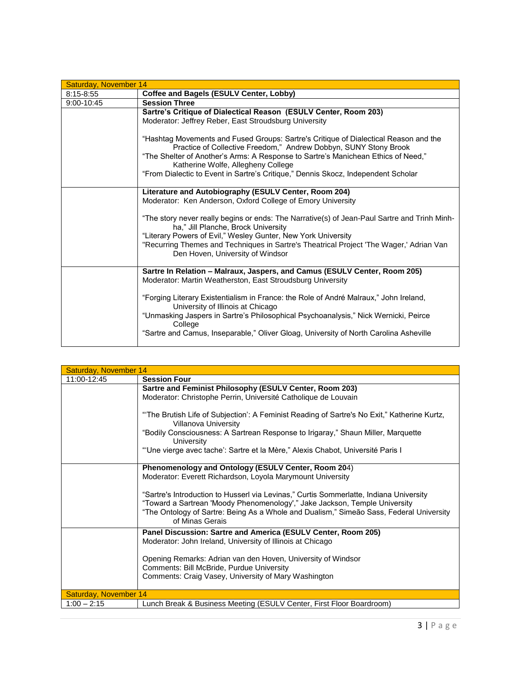| Saturday, November 14 |                                                                                                                                                                                                                                                                                                                                                                          |
|-----------------------|--------------------------------------------------------------------------------------------------------------------------------------------------------------------------------------------------------------------------------------------------------------------------------------------------------------------------------------------------------------------------|
| $8:15 - 8:55$         | <b>Coffee and Bagels (ESULV Center, Lobby)</b>                                                                                                                                                                                                                                                                                                                           |
| $9:00 - 10:45$        | <b>Session Three</b>                                                                                                                                                                                                                                                                                                                                                     |
|                       | Sartre's Critique of Dialectical Reason (ESULV Center, Room 203)                                                                                                                                                                                                                                                                                                         |
|                       | Moderator: Jeffrey Reber, East Stroudsburg University                                                                                                                                                                                                                                                                                                                    |
|                       | "Hashtag Movements and Fused Groups: Sartre's Critique of Dialectical Reason and the<br>Practice of Collective Freedom," Andrew Dobbyn, SUNY Stony Brook<br>"The Shelter of Another's Arms: A Response to Sartre's Manichean Ethics of Need,"<br>Katherine Wolfe, Allegheny College<br>"From Dialectic to Event in Sartre's Critique," Dennis Skocz, Independent Scholar |
|                       | Literature and Autobiography (ESULV Center, Room 204)                                                                                                                                                                                                                                                                                                                    |
|                       | Moderator: Ken Anderson, Oxford College of Emory University                                                                                                                                                                                                                                                                                                              |
|                       | "The story never really begins or ends: The Narrative(s) of Jean-Paul Sartre and Trinh Minh-<br>ha," Jill Planche, Brock University<br>"Literary Powers of Evil," Wesley Gunter, New York University<br>"Recurring Themes and Techniques in Sartre's Theatrical Project 'The Wager,' Adrian Van<br>Den Hoven, University of Windsor                                      |
|                       | Sartre In Relation - Malraux, Jaspers, and Camus (ESULV Center, Room 205)<br>Moderator: Martin Weatherston, East Stroudsburg University                                                                                                                                                                                                                                  |
|                       | "Forging Literary Existentialism in France: the Role of André Malraux," John Ireland,<br>University of Illinois at Chicago<br>"Unmasking Jaspers in Sartre's Philosophical Psychoanalysis," Nick Wernicki, Peirce<br>College                                                                                                                                             |
|                       | "Sartre and Camus, Inseparable," Oliver Gloag, University of North Carolina Asheville                                                                                                                                                                                                                                                                                    |

| Saturday, November 14 |                                                                                                                                                                                                                                                                                    |
|-----------------------|------------------------------------------------------------------------------------------------------------------------------------------------------------------------------------------------------------------------------------------------------------------------------------|
| 11:00-12:45           | <b>Session Four</b>                                                                                                                                                                                                                                                                |
|                       | Sartre and Feminist Philosophy (ESULV Center, Room 203)                                                                                                                                                                                                                            |
|                       | Moderator: Christophe Perrin, Université Catholique de Louvain                                                                                                                                                                                                                     |
|                       | "The Brutish Life of Subjection': A Feminist Reading of Sartre's No Exit," Katherine Kurtz,<br>Villanova University                                                                                                                                                                |
|                       | "Bodily Consciousness: A Sartrean Response to Irigaray," Shaun Miller, Marquette<br>University                                                                                                                                                                                     |
|                       | "Une vierge avec tache': Sartre et la Mère," Alexis Chabot, Université Paris I                                                                                                                                                                                                     |
|                       | Phenomenology and Ontology (ESULV Center, Room 204)                                                                                                                                                                                                                                |
|                       | Moderator: Everett Richardson, Loyola Marymount University                                                                                                                                                                                                                         |
|                       | "Sartre's Introduction to Husserl via Levinas," Curtis Sommerlatte, Indiana University<br>"Toward a Sartrean 'Moody Phenomenology'," Jake Jackson, Temple University<br>"The Ontology of Sartre: Being As a Whole and Dualism," Simeão Sass, Federal University<br>of Minas Gerais |
|                       | Panel Discussion: Sartre and America (ESULV Center, Room 205)<br>Moderator: John Ireland, University of Illinois at Chicago                                                                                                                                                        |
|                       | Opening Remarks: Adrian van den Hoven, University of Windsor<br>Comments: Bill McBride, Purdue University<br>Comments: Craig Vasey, University of Mary Washington                                                                                                                  |
|                       |                                                                                                                                                                                                                                                                                    |
| Saturday, November 14 |                                                                                                                                                                                                                                                                                    |
| $1:00 - 2:15$         | Lunch Break & Business Meeting (ESULV Center, First Floor Boardroom)                                                                                                                                                                                                               |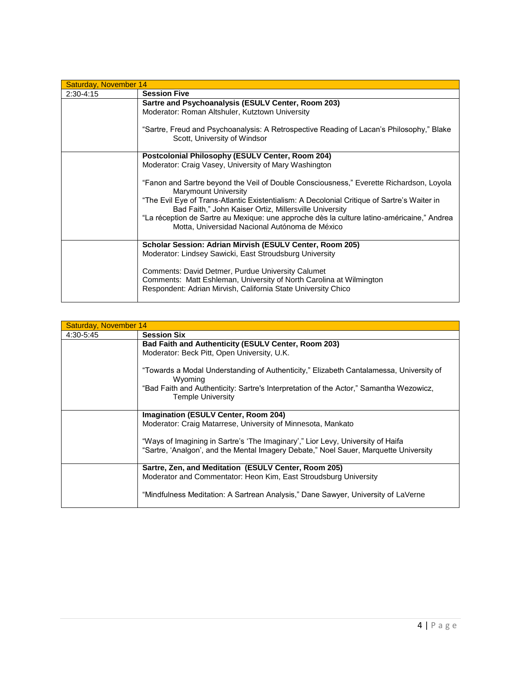| Saturday, November 14 |                                                                                                                                                       |
|-----------------------|-------------------------------------------------------------------------------------------------------------------------------------------------------|
| $2:30-4:15$           | <b>Session Five</b>                                                                                                                                   |
|                       | Sartre and Psychoanalysis (ESULV Center, Room 203)                                                                                                    |
|                       | Moderator: Roman Altshuler, Kutztown University                                                                                                       |
|                       |                                                                                                                                                       |
|                       | "Sartre, Freud and Psychoanalysis: A Retrospective Reading of Lacan's Philosophy," Blake                                                              |
|                       | Scott, University of Windsor                                                                                                                          |
|                       |                                                                                                                                                       |
|                       | <b>Postcolonial Philosophy (ESULV Center, Room 204)</b>                                                                                               |
|                       | Moderator: Craig Vasey, University of Mary Washington                                                                                                 |
|                       |                                                                                                                                                       |
|                       | "Fanon and Sartre beyond the Veil of Double Consciousness," Everette Richardson, Loyola<br><b>Marymount University</b>                                |
|                       | "The Evil Eye of Trans-Atlantic Existentialism: A Decolonial Critique of Sartre's Waiter in<br>Bad Faith," John Kaiser Ortiz, Millersville University |
|                       | "La réception de Sartre au Mexique: une approche dès la culture latino-américaine," Andrea                                                            |
|                       | Motta, Universidad Nacional Autónoma de México                                                                                                        |
|                       |                                                                                                                                                       |
|                       | Scholar Session: Adrian Mirvish (ESULV Center, Room 205)                                                                                              |
|                       | Moderator: Lindsey Sawicki, East Stroudsburg University                                                                                               |
|                       |                                                                                                                                                       |
|                       | Comments: David Detmer, Purdue University Calumet                                                                                                     |
|                       | Comments: Matt Eshleman, University of North Carolina at Wilmington                                                                                   |
|                       | Respondent: Adrian Mirvish, California State University Chico                                                                                         |
|                       |                                                                                                                                                       |

| Saturday, November 14 |                                                                                                                                                                                             |
|-----------------------|---------------------------------------------------------------------------------------------------------------------------------------------------------------------------------------------|
| 4:30-5:45             | <b>Session Six</b>                                                                                                                                                                          |
|                       | <b>Bad Faith and Authenticity (ESULV Center, Room 203)</b>                                                                                                                                  |
|                       | Moderator: Beck Pitt, Open University, U.K.                                                                                                                                                 |
|                       | "Towards a Modal Understanding of Authenticity," Elizabeth Cantalamessa, University of<br>Wyoming<br>"Bad Faith and Authenticity: Sartre's Interpretation of the Actor," Samantha Wezowicz, |
|                       | <b>Temple University</b>                                                                                                                                                                    |
|                       | Imagination (ESULV Center, Room 204)                                                                                                                                                        |
|                       | Moderator: Craig Matarrese, University of Minnesota, Mankato                                                                                                                                |
|                       | "Ways of Imagining in Sartre's 'The Imaginary'," Lior Levy, University of Haifa                                                                                                             |
|                       | "Sartre, 'Analgon', and the Mental Imagery Debate," Noel Sauer, Marquette University                                                                                                        |
|                       | Sartre, Zen, and Meditation (ESULV Center, Room 205)                                                                                                                                        |
|                       | Moderator and Commentator: Heon Kim, East Stroudsburg University                                                                                                                            |
|                       | "Mindfulness Meditation: A Sartrean Analysis," Dane Sawyer, University of LaVerne                                                                                                           |